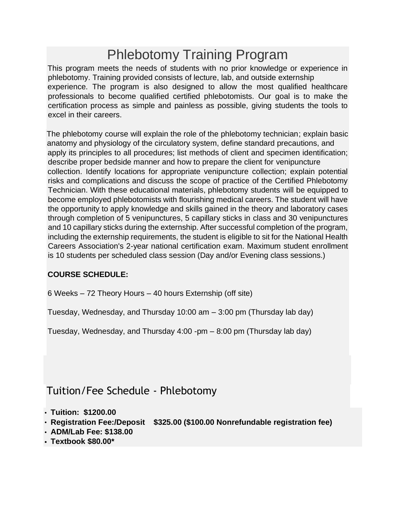# Phlebotomy Training Program

This program meets the needs of students with no prior knowledge or experience in phlebotomy. Training provided consists of lecture, lab, and outside externship experience. The program is also designed to allow the most qualified healthcare professionals to become qualified certified phlebotomists. Our goal is to make the certification process as simple and painless as possible, giving students the tools to excel in their careers.

The phlebotomy course will explain the role of the phlebotomy technician; explain basic anatomy and physiology of the circulatory system, define standard precautions, and apply its principles to all procedures; list methods of client and specimen identification; describe proper bedside manner and how to prepare the client for venipuncture collection. Identify locations for appropriate venipuncture collection; explain potential risks and complications and discuss the scope of practice of the Certified Phlebotomy Technician. With these educational materials, phlebotomy students will be equipped to become employed phlebotomists with flourishing medical careers. The student will have the opportunity to apply knowledge and skills gained in the theory and laboratory cases through completion of 5 venipunctures, 5 capillary sticks in class and 30 venipunctures and 10 capillary sticks during the externship. After successful completion of the program, including the externship requirements, the student is eligible to sit for the National Health Careers Association's 2-year national certification exam. Maximum student enrollment is 10 students per scheduled class session (Day and/or Evening class sessions.)

#### **COURSE SCHEDULE:**

6 Weeks – 72 Theory Hours – 40 hours Externship (off site)

Tuesday, Wednesday, and Thursday 10:00 am – 3:00 pm (Thursday lab day)

Tuesday, Wednesday, and Thursday 4:00 -pm – 8:00 pm (Thursday lab day)

## [Tuition/Fee Schedule -](http://www.fsteacademy.education/nursing-training) [Phlebotomy](http://www.fsteacademy.education/nursing-training)

- **Tuition: \$1200.00**
- **Registration Fee:/Deposit \$325.00 (\$100.00 Nonrefundable registration fee)**
- **ADM/Lab Fee: \$138.00**
- **Textbook \$80.00\***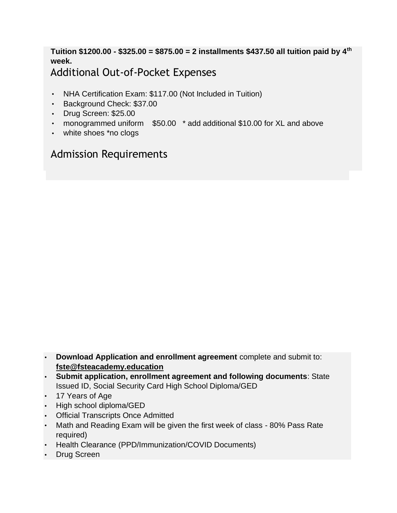### **Tuition \$1200.00 - \$325.00 = \$875.00 = 2 installments \$437.50 all tuition paid by 4th week.** [Additional Out-of-Pocket Expenses](http://www.fsteacademy.education/nursing-training)

- NHA Certification Exam: \$117.00 (Not Included in Tuition)
- Background Check: \$37.00
- Drug Screen: \$25.00
- monogrammed uniform \$50.00 \* add additional \$10.00 for XL and above
- white shoes \*no clogs

## [Admission Requirements](http://www.fsteacademy.education/nursing-training)

- **Download Application and enrollment agreement** complete and submit to: **fste@fsteacademy.education**
- **Submit application, enrollment agreement and following documents**: State Issued ID, Social Security Card High School Diploma/GED
- 17 Years of Age
- High school diploma/GED
- **Official Transcripts Once Admitted**
- Math and Reading Exam will be given the first week of class 80% Pass Rate required)
- Health Clearance (PPD/Immunization/COVID Documents)
- **Drug Screen**